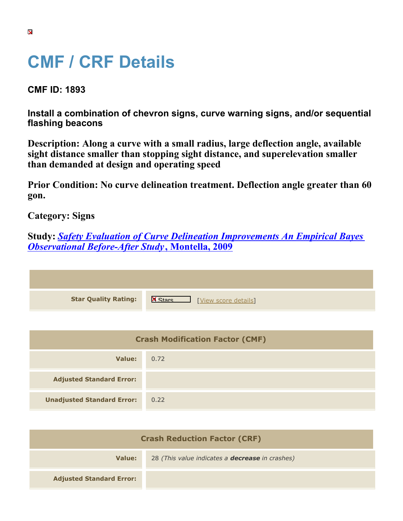## **CMF / CRF Details**

**CMF ID: 1893**

**Install a combination of chevron signs, curve warning signs, and/or sequential flashing beacons**

**Description: Along a curve with a small radius, large deflection angle, available sight distance smaller than stopping sight distance, and superelevation smaller than demanded at design and operating speed**

**Prior Condition: No curve delineation treatment. Deflection angle greater than 60 gon.**

**Category: Signs**

**Study:** *[Safety Evaluation of Curve Delineation Improvements An Empirical Bayes](https://cmfclearinghouse.org/study_detail.cfm?stid=102) [Observational Before-After Study](https://cmfclearinghouse.org/study_detail.cfm?stid=102)***[, Montella, 2009](https://cmfclearinghouse.org/study_detail.cfm?stid=102)**

| <b>Star Quality Rating:</b> | <b>X</b><br>[View score details] |
|-----------------------------|----------------------------------|

| <b>Crash Modification Factor (CMF)</b> |      |
|----------------------------------------|------|
| Value:                                 | 0.72 |
| <b>Adjusted Standard Error:</b>        |      |
| <b>Unadjusted Standard Error:</b>      | 0.22 |

| <b>Crash Reduction Factor (CRF)</b> |                                                        |
|-------------------------------------|--------------------------------------------------------|
| Value:                              | 28 (This value indicates a <b>decrease</b> in crashes) |
| <b>Adjusted Standard Error:</b>     |                                                        |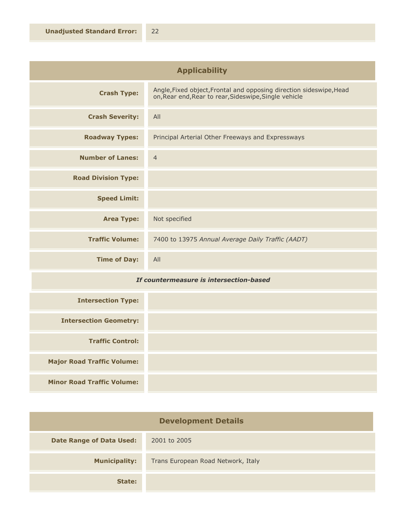| <b>Applicability</b>       |                                                                                                                              |
|----------------------------|------------------------------------------------------------------------------------------------------------------------------|
| <b>Crash Type:</b>         | Angle, Fixed object, Frontal and opposing direction sideswipe, Head<br>on, Rear end, Rear to rear, Sideswipe, Single vehicle |
| <b>Crash Severity:</b>     | All                                                                                                                          |
| <b>Roadway Types:</b>      | Principal Arterial Other Freeways and Expressways                                                                            |
| <b>Number of Lanes:</b>    | $\overline{4}$                                                                                                               |
| <b>Road Division Type:</b> |                                                                                                                              |
| <b>Speed Limit:</b>        |                                                                                                                              |
| <b>Area Type:</b>          | Not specified                                                                                                                |
| <b>Traffic Volume:</b>     | 7400 to 13975 Annual Average Daily Traffic (AADT)                                                                            |
| <b>Time of Day:</b>        | All                                                                                                                          |

## *If countermeasure is intersection-based*

| <b>Intersection Type:</b>         |  |
|-----------------------------------|--|
| <b>Intersection Geometry:</b>     |  |
| <b>Traffic Control:</b>           |  |
| <b>Major Road Traffic Volume:</b> |  |
| <b>Minor Road Traffic Volume:</b> |  |

| <b>Development Details</b>      |                                    |
|---------------------------------|------------------------------------|
| <b>Date Range of Data Used:</b> | 2001 to 2005                       |
| <b>Municipality:</b>            | Trans European Road Network, Italy |
| State:                          |                                    |